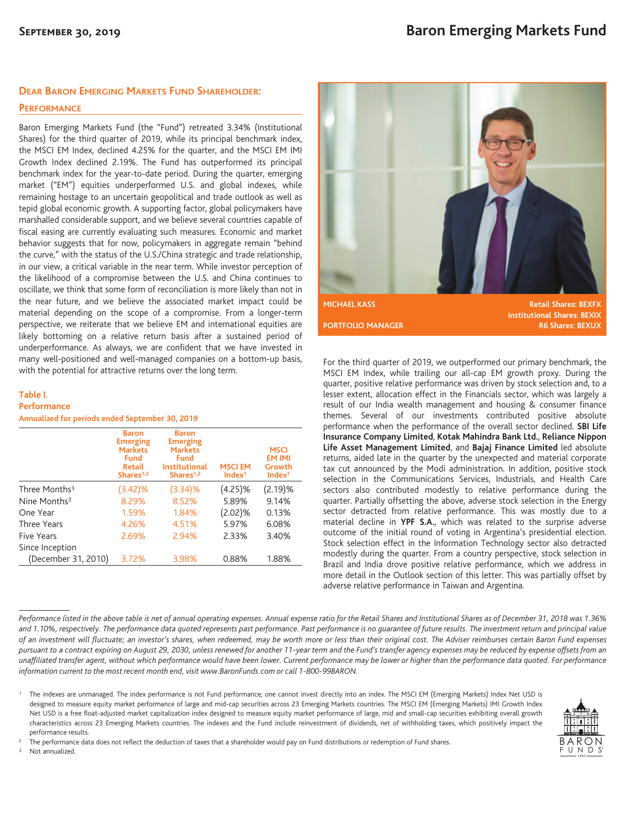## **DEAR BARON EMERGING MARKETS FUND SHAREHOLDER:**

### **PERFORMANCE**

Baron Emerging Markets Fund (the "Fund") retreated 3.34% (Institutional Shares) for the third quarter of 2019, while its principal benchmark index, the MSCI EM Index, declined 4.25% for the quarter, and the MSCI EM IMI Growth Index declined 2.19%. The Fund has outperformed its principal benchmark index for the year-to-date period. During the quarter, emerging market ("EM") equities underperformed U.S. and global indexes, while remaining hostage to an uncertain geopolitical and trade outlook as well as tepid global economic growth. A supporting factor, global policymakers have marshalled considerable support, and we believe several countries capable of fiscal easing are currently evaluating such measures. Economic and market behavior suggests that for now, policymakers in aggregate remain "behind the curve," with the status of the U.S./China strategic and trade relationship, in our view, a critical variable in the near term. While investor perception of the likelihood of a compromise between the U.S. and China continues to oscillate, we think that some form of reconciliation is more likely than not in the near future, and we believe the associated market impact could be material depending on the scope of a compromise. From a longer-term perspective, we reiterate that we believe EM and international equities are likely bottoming on a relative return basis after a sustained period of underperformance. As always, we are confident that we have invested in many well-positioned and well-managed companies on a bottom-up basis, with the potential for attractive returns over the long term.

### **Table I.**

#### **Performance**

**Annualized for periods ended September 30, 2019**

|                           | <b>Baron</b><br><b>Emerging</b><br><b>Markets</b><br><b>Fund</b><br><b>Retail</b><br>Shares $1,2$ | <b>Baron</b><br><b>Emerging</b><br><b>Markets</b><br>Fund<br><b>Institutional</b><br>Shares $1,2$ | <b>MSCIEM</b><br>Index <sup>1</sup> | <b>MSCI</b><br><b>EM IMI</b><br>Growth<br>Index <sup>1</sup> |
|---------------------------|---------------------------------------------------------------------------------------------------|---------------------------------------------------------------------------------------------------|-------------------------------------|--------------------------------------------------------------|
| Three Months <sup>3</sup> | $(3.42)\%$                                                                                        | (3.34)%                                                                                           | (4.25)%                             | (2.19)%                                                      |
| Nine Months $3$           | 8.29%                                                                                             | 8.52%                                                                                             | 5.89%                               | 9.14%                                                        |
| One Year                  | 1.59%                                                                                             | 1.84%                                                                                             | $(2.02)\%$                          | 0.13%                                                        |
| Three Years               | 4.26%                                                                                             | 4.51%                                                                                             | 5.97%                               | 6.08%                                                        |
| <b>Five Years</b>         | 2.69%                                                                                             | 2.94%                                                                                             | 2.33%                               | 3.40%                                                        |
| Since Inception           |                                                                                                   |                                                                                                   |                                     |                                                              |
| (December 31, 2010)       | 3.72%                                                                                             | 3.98%                                                                                             | 0.88%                               | 1.88%                                                        |



For the third quarter of 2019, we outperformed our primary benchmark, the MSCI EM Index, while trailing our all-cap EM growth proxy. During the quarter, positive relative performance was driven by stock selection and, to a lesser extent, allocation effect in the Financials sector, which was largely a result of our India wealth management and housing & consumer finance themes. Several of our investments contributed positive absolute performance when the performance of the overall sector declined. **SBI Life Insurance Company Limited**, **Kotak Mahindra Bank Ltd.**, **Reliance Nippon Life Asset Management Limited**, and **Bajaj Finance Limited** led absolute returns, aided late in the quarter by the unexpected and material corporate tax cut announced by the Modi administration. In addition, positive stock selection in the Communications Services, Industrials, and Health Care sectors also contributed modestly to relative performance during the quarter. Partially offsetting the above, adverse stock selection in the Energy sector detracted from relative performance. This was mostly due to a material decline in **YPF S.A.**, which was related to the surprise adverse outcome of the initial round of voting in Argentina's presidential election. Stock selection effect in the Information Technology sector also detracted modestly during the quarter. From a country perspective, stock selection in Brazil and India drove positive relative performance, which we address in more detail in the Outlook section of this letter. This was partially offset by adverse relative performance in Taiwan and Argentina.

*Performance listed in the above table is net of annual operating expenses. Annual expense ratio for the Retail Shares and Institutional Shares as of December 31, 2018 was 1.36% and 1.10%, respectively. The performance data quoted represents past performance. Past performance is no guarantee of future results. The investment return and principal value of an investment will fluctuate; an investor's shares, when redeemed, may be worth more or less than their original cost. The Adviser reimburses certain Baron Fund expenses pursuant to a contract expiring on August 29, 2030, unless renewed for another 11-year term and the Fund's transfer agency expenses may be reduced by expense offsets from an unaffiliated transfer agent, without which performance would have been lower. Current performance may be lower or higher than the performance data quoted. For performance information current to the most recent month end, visit www.BaronFunds.com or call 1-800-99BARON.*

<sup>1</sup> The indexes are unmanaged. The index performance is not Fund performance; one cannot invest directly into an index. The MSCI EM (Emerging Markets) Index Net USD is designed to measure equity market performance of large and mid-cap securities across 23 Emerging Markets countries. The MSCI EM (Emerging Markets) IMI Growth Index Net USD is a free float-adjusted market capitalization index designed to measure equity market performance of large, mid and small-cap securities exhibiting overall growth characteristics across 23 Emerging Markets countries. The indexes and the Fund include reinvestment of dividends, net of withholding taxes, which positively impact the performance results.



<sup>2</sup> The performance data does not reflect the deduction of taxes that a shareholder would pay on Fund distributions or redemption of Fund shares.

<sup>3</sup> Not annualized.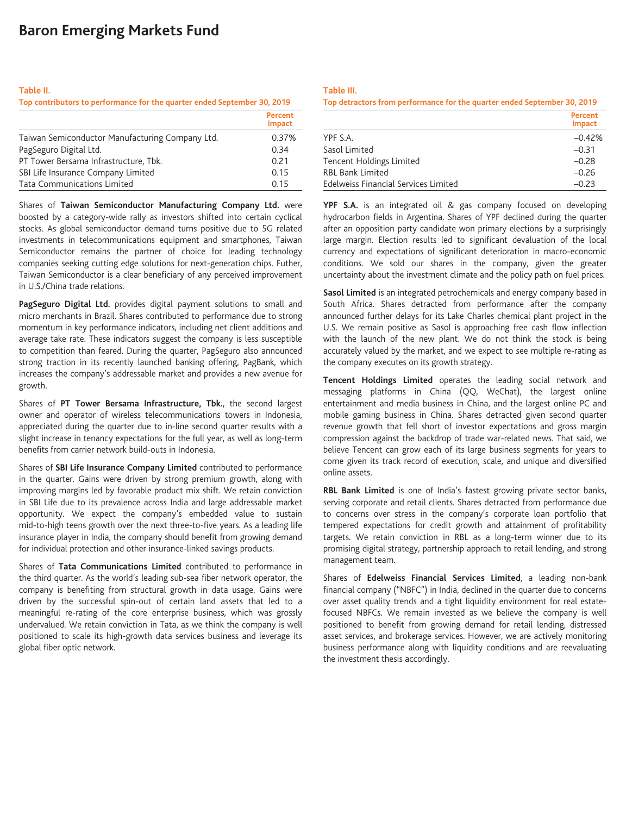# **Baron Emerging Markets Fund**

#### **Table II.**

| Top contributors to performance for the quarter ended September 30, 2019 |         |  |
|--------------------------------------------------------------------------|---------|--|
|                                                                          | Percent |  |

|                                                 | <b>Impact</b> |
|-------------------------------------------------|---------------|
| Taiwan Semiconductor Manufacturing Company Ltd. | 0.37%         |
| PagSeguro Digital Ltd.                          | 0.34          |
| PT Tower Bersama Infrastructure, Tbk.           | 0.21          |
| SBI Life Insurance Company Limited              | 0.15          |
| Tata Communications Limited                     | 0.15          |

Shares of **Taiwan Semiconductor Manufacturing Company Ltd.** were boosted by a category-wide rally as investors shifted into certain cyclical stocks. As global semiconductor demand turns positive due to 5G related investments in telecommunications equipment and smartphones, Taiwan Semiconductor remains the partner of choice for leading technology companies seeking cutting edge solutions for next-generation chips. Futher, Taiwan Semiconductor is a clear beneficiary of any perceived improvement in U.S./China trade relations.

**PagSeguro Digital Ltd.** provides digital payment solutions to small and micro merchants in Brazil. Shares contributed to performance due to strong momentum in key performance indicators, including net client additions and average take rate. These indicators suggest the company is less susceptible to competition than feared. During the quarter, PagSeguro also announced strong traction in its recently launched banking offering, PagBank, which increases the company's addressable market and provides a new avenue for growth.

Shares of **PT Tower Bersama Infrastructure, Tbk.**, the second largest owner and operator of wireless telecommunications towers in Indonesia, appreciated during the quarter due to in-line second quarter results with a slight increase in tenancy expectations for the full year, as well as long-term benefits from carrier network build-outs in Indonesia.

Shares of **SBI Life Insurance Company Limited** contributed to performance in the quarter. Gains were driven by strong premium growth, along with improving margins led by favorable product mix shift. We retain conviction in SBI Life due to its prevalence across India and large addressable market opportunity. We expect the company's embedded value to sustain mid-to-high teens growth over the next three-to-five years. As a leading life insurance player in India, the company should benefit from growing demand for individual protection and other insurance-linked savings products.

Shares of **Tata Communications Limited** contributed to performance in the third quarter. As the world's leading sub-sea fiber network operator, the company is benefiting from structural growth in data usage. Gains were driven by the successful spin-out of certain land assets that led to a meaningful re-rating of the core enterprise business, which was grossly undervalued. We retain conviction in Tata, as we think the company is well positioned to scale its high-growth data services business and leverage its global fiber optic network.

**Table III.**

| Top detractors from performance for the quarter ended September 30, 2019 |                          |
|--------------------------------------------------------------------------|--------------------------|
|                                                                          | Percent<br><b>Impact</b> |
| YPF S.A.                                                                 | $-0.42%$                 |
| Sasol Limited                                                            | $-0.31$                  |
| Tencent Holdings Limited                                                 | $-0.28$                  |
| <b>RBL Bank Limited</b>                                                  | $-0.26$                  |
| Edelweiss Financial Services Limited                                     | $-0.23$                  |

**YPF S.A.** is an integrated oil & gas company focused on developing hydrocarbon fields in Argentina. Shares of YPF declined during the quarter after an opposition party candidate won primary elections by a surprisingly large margin. Election results led to significant devaluation of the local currency and expectations of significant deterioration in macro-economic conditions. We sold our shares in the company, given the greater uncertainty about the investment climate and the policy path on fuel prices.

**Sasol Limited** is an integrated petrochemicals and energy company based in South Africa. Shares detracted from performance after the company announced further delays for its Lake Charles chemical plant project in the U.S. We remain positive as Sasol is approaching free cash flow inflection with the launch of the new plant. We do not think the stock is being accurately valued by the market, and we expect to see multiple re-rating as the company executes on its growth strategy.

**Tencent Holdings Limited** operates the leading social network and messaging platforms in China (QQ, WeChat), the largest online entertainment and media business in China, and the largest online PC and mobile gaming business in China. Shares detracted given second quarter revenue growth that fell short of investor expectations and gross margin compression against the backdrop of trade war-related news. That said, we believe Tencent can grow each of its large business segments for years to come given its track record of execution, scale, and unique and diversified online assets.

**RBL Bank Limited** is one of India's fastest growing private sector banks, serving corporate and retail clients. Shares detracted from performance due to concerns over stress in the company's corporate loan portfolio that tempered expectations for credit growth and attainment of profitability targets. We retain conviction in RBL as a long-term winner due to its promising digital strategy, partnership approach to retail lending, and strong management team.

Shares of **Edelweiss Financial Services Limited**, a leading non-bank financial company ("NBFC") in India, declined in the quarter due to concerns over asset quality trends and a tight liquidity environment for real estatefocused NBFCs. We remain invested as we believe the company is well positioned to benefit from growing demand for retail lending, distressed asset services, and brokerage services. However, we are actively monitoring business performance along with liquidity conditions and are reevaluating the investment thesis accordingly.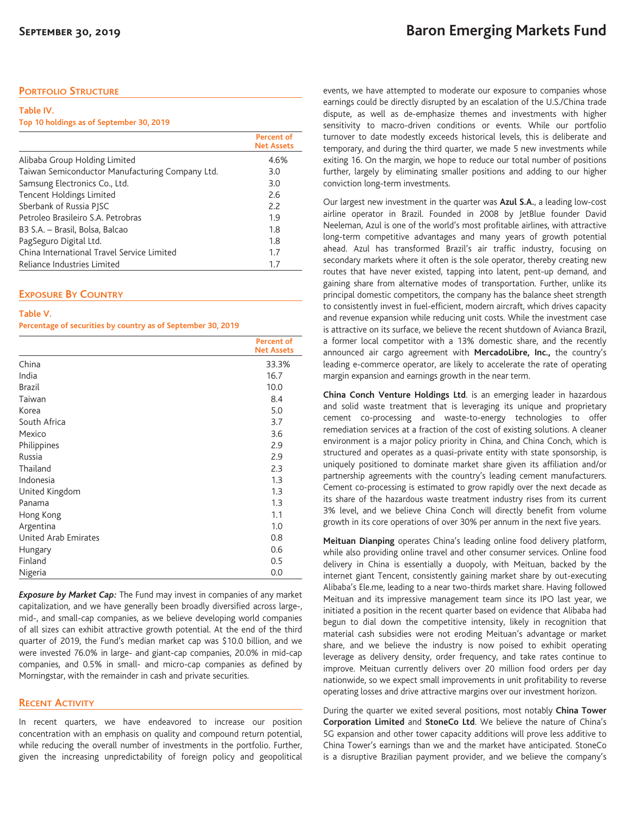## **PORTFOLIO STRUCTURE**

| Table IV.                                |  |
|------------------------------------------|--|
| Top 10 holdings as of September 30, 2019 |  |

|                                                 | <b>Percent of</b><br><b>Net Assets</b> |
|-------------------------------------------------|----------------------------------------|
| Alibaba Group Holding Limited                   | 4.6%                                   |
| Taiwan Semiconductor Manufacturing Company Ltd. | 3.0                                    |
| Samsung Electronics Co., Ltd.                   | 3.0                                    |
| Tencent Holdings Limited                        | 2.6                                    |
| Sberbank of Russia PISC                         | 2.2                                    |
| Petroleo Brasileiro S.A. Petrobras              | 1.9                                    |
| B3 S.A. – Brasil, Bolsa, Balcao                 | 1.8                                    |
| PagSeguro Digital Ltd.                          | 1.8                                    |
| China International Travel Service Limited      | 1.7                                    |
| Reliance Industries Limited                     | 1.7                                    |

## **EXPOSURE BY COUNTRY**

#### **Table V.**

**Percentage of securities by country as of September 30, 2019**

|                      | <b>Percent of</b><br><b>Net Assets</b> |
|----------------------|----------------------------------------|
| China                | 33.3%                                  |
| India                | 16.7                                   |
| <b>Brazil</b>        | 10.0                                   |
| Taiwan               | 8.4                                    |
| Korea                | 5.0                                    |
| South Africa         | 3.7                                    |
| Mexico               | 3.6                                    |
| Philippines          | 2.9                                    |
| Russia               | 2.9                                    |
| Thailand             | 2.3                                    |
| Indonesia            | 1.3                                    |
| United Kingdom       | 1.3                                    |
| Panama               | 1.3                                    |
| Hong Kong            | 1.1                                    |
| Argentina            | 1.0                                    |
| United Arab Emirates | 0.8                                    |
| Hungary              | 0.6                                    |
| Finland              | 0.5                                    |
| Nigeria              | 0.0                                    |

*Exposure by Market Cap:* The Fund may invest in companies of any market capitalization, and we have generally been broadly diversified across large-, mid-, and small-cap companies, as we believe developing world companies of all sizes can exhibit attractive growth potential. At the end of the third quarter of 2019, the Fund's median market cap was \$10.0 billion, and we were invested 76.0% in large- and giant-cap companies, 20.0% in mid-cap companies, and 0.5% in small- and micro-cap companies as defined by Morningstar, with the remainder in cash and private securities.

## **RECENT ACTIVITY**

In recent quarters, we have endeavored to increase our position concentration with an emphasis on quality and compound return potential, while reducing the overall number of investments in the portfolio. Further, given the increasing unpredictability of foreign policy and geopolitical events, we have attempted to moderate our exposure to companies whose earnings could be directly disrupted by an escalation of the U.S./China trade dispute, as well as de-emphasize themes and investments with higher sensitivity to macro-driven conditions or events. While our portfolio turnover to date modestly exceeds historical levels, this is deliberate and temporary, and during the third quarter, we made 5 new investments while exiting 16. On the margin, we hope to reduce our total number of positions further, largely by eliminating smaller positions and adding to our higher conviction long-term investments.

Our largest new investment in the quarter was **Azul S.A.**, a leading low-cost airline operator in Brazil. Founded in 2008 by JetBlue founder David Neeleman, Azul is one of the world's most profitable airlines, with attractive long-term competitive advantages and many years of growth potential ahead. Azul has transformed Brazil's air traffic industry, focusing on secondary markets where it often is the sole operator, thereby creating new routes that have never existed, tapping into latent, pent-up demand, and gaining share from alternative modes of transportation. Further, unlike its principal domestic competitors, the company has the balance sheet strength to consistently invest in fuel-efficient, modern aircraft, which drives capacity and revenue expansion while reducing unit costs. While the investment case is attractive on its surface, we believe the recent shutdown of Avianca Brazil, a former local competitor with a 13% domestic share, and the recently announced air cargo agreement with **MercadoLibre, Inc.,** the country's leading e-commerce operator, are likely to accelerate the rate of operating margin expansion and earnings growth in the near term.

**China Conch Venture Holdings Ltd**. is an emerging leader in hazardous and solid waste treatment that is leveraging its unique and proprietary cement co-processing and waste-to-energy technologies to offer remediation services at a fraction of the cost of existing solutions. A cleaner environment is a major policy priority in China, and China Conch, which is structured and operates as a quasi-private entity with state sponsorship, is uniquely positioned to dominate market share given its affiliation and/or partnership agreements with the country's leading cement manufacturers. Cement co-processing is estimated to grow rapidly over the next decade as its share of the hazardous waste treatment industry rises from its current 3% level, and we believe China Conch will directly benefit from volume growth in its core operations of over 30% per annum in the next five years.

**Meituan Dianping** operates China's leading online food delivery platform, while also providing online travel and other consumer services. Online food delivery in China is essentially a duopoly, with Meituan, backed by the internet giant Tencent, consistently gaining market share by out-executing Alibaba's Ele.me, leading to a near two-thirds market share. Having followed Meituan and its impressive management team since its IPO last year, we initiated a position in the recent quarter based on evidence that Alibaba had begun to dial down the competitive intensity, likely in recognition that material cash subsidies were not eroding Meituan's advantage or market share, and we believe the industry is now poised to exhibit operating leverage as delivery density, order frequency, and take rates continue to improve. Meituan currently delivers over 20 million food orders per day nationwide, so we expect small improvements in unit profitability to reverse operating losses and drive attractive margins over our investment horizon.

During the quarter we exited several positions, most notably **China Tower Corporation Limited** and **StoneCo Ltd**. We believe the nature of China's 5G expansion and other tower capacity additions will prove less additive to China Tower's earnings than we and the market have anticipated. StoneCo is a disruptive Brazilian payment provider, and we believe the company's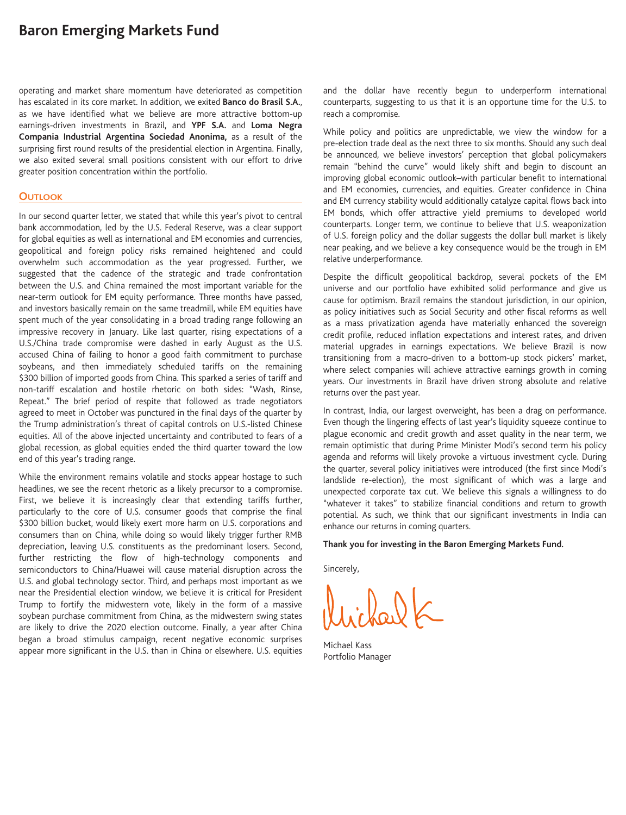# **Baron Emerging Markets Fund**

operating and market share momentum have deteriorated as competition has escalated in its core market. In addition, we exited **Banco do Brasil S.A.**, as we have identified what we believe are more attractive bottom-up earnings-driven investments in Brazil, and **YPF S.A.** and **Loma Negra Compania Industrial Argentina Sociedad Anonima,** as a result of the surprising first round results of the presidential election in Argentina. Finally, we also exited several small positions consistent with our effort to drive greater position concentration within the portfolio.

### **OUTLOOK**

In our second quarter letter, we stated that while this year's pivot to central bank accommodation, led by the U.S. Federal Reserve, was a clear support for global equities as well as international and EM economies and currencies, geopolitical and foreign policy risks remained heightened and could overwhelm such accommodation as the year progressed. Further, we suggested that the cadence of the strategic and trade confrontation between the U.S. and China remained the most important variable for the near-term outlook for EM equity performance. Three months have passed, and investors basically remain on the same treadmill, while EM equities have spent much of the year consolidating in a broad trading range following an impressive recovery in January. Like last quarter, rising expectations of a U.S./China trade compromise were dashed in early August as the U.S. accused China of failing to honor a good faith commitment to purchase soybeans, and then immediately scheduled tariffs on the remaining \$300 billion of imported goods from China. This sparked a series of tariff and non-tariff escalation and hostile rhetoric on both sides: "Wash, Rinse, Repeat." The brief period of respite that followed as trade negotiators agreed to meet in October was punctured in the final days of the quarter by the Trump administration's threat of capital controls on U.S.-listed Chinese equities. All of the above injected uncertainty and contributed to fears of a global recession, as global equities ended the third quarter toward the low end of this year's trading range.

While the environment remains volatile and stocks appear hostage to such headlines, we see the recent rhetoric as a likely precursor to a compromise. First, we believe it is increasingly clear that extending tariffs further, particularly to the core of U.S. consumer goods that comprise the final \$300 billion bucket, would likely exert more harm on U.S. corporations and consumers than on China, while doing so would likely trigger further RMB depreciation, leaving U.S. constituents as the predominant losers. Second, further restricting the flow of high-technology components and semiconductors to China/Huawei will cause material disruption across the U.S. and global technology sector. Third, and perhaps most important as we near the Presidential election window, we believe it is critical for President Trump to fortify the midwestern vote, likely in the form of a massive soybean purchase commitment from China, as the midwestern swing states are likely to drive the 2020 election outcome. Finally, a year after China began a broad stimulus campaign, recent negative economic surprises appear more significant in the U.S. than in China or elsewhere. U.S. equities

and the dollar have recently begun to underperform international counterparts, suggesting to us that it is an opportune time for the U.S. to reach a compromise.

While policy and politics are unpredictable, we view the window for a pre-election trade deal as the next three to six months. Should any such deal be announced, we believe investors' perception that global policymakers remain "behind the curve" would likely shift and begin to discount an improving global economic outlook–with particular benefit to international and EM economies, currencies, and equities. Greater confidence in China and EM currency stability would additionally catalyze capital flows back into EM bonds, which offer attractive yield premiums to developed world counterparts. Longer term, we continue to believe that U.S. weaponization of U.S. foreign policy and the dollar suggests the dollar bull market is likely near peaking, and we believe a key consequence would be the trough in EM relative underperformance.

Despite the difficult geopolitical backdrop, several pockets of the EM universe and our portfolio have exhibited solid performance and give us cause for optimism. Brazil remains the standout jurisdiction, in our opinion, as policy initiatives such as Social Security and other fiscal reforms as well as a mass privatization agenda have materially enhanced the sovereign credit profile, reduced inflation expectations and interest rates, and driven material upgrades in earnings expectations. We believe Brazil is now transitioning from a macro-driven to a bottom-up stock pickers' market, where select companies will achieve attractive earnings growth in coming years. Our investments in Brazil have driven strong absolute and relative returns over the past year.

In contrast, India, our largest overweight, has been a drag on performance. Even though the lingering effects of last year's liquidity squeeze continue to plague economic and credit growth and asset quality in the near term, we remain optimistic that during Prime Minister Modi's second term his policy agenda and reforms will likely provoke a virtuous investment cycle. During the quarter, several policy initiatives were introduced (the first since Modi's landslide re-election), the most significant of which was a large and unexpected corporate tax cut. We believe this signals a willingness to do "whatever it takes" to stabilize financial conditions and return to growth potential. As such, we think that our significant investments in India can enhance our returns in coming quarters.

#### **Thank you for investing in the Baron Emerging Markets Fund.**

Sincerely,

Michael Kass Portfolio Manager